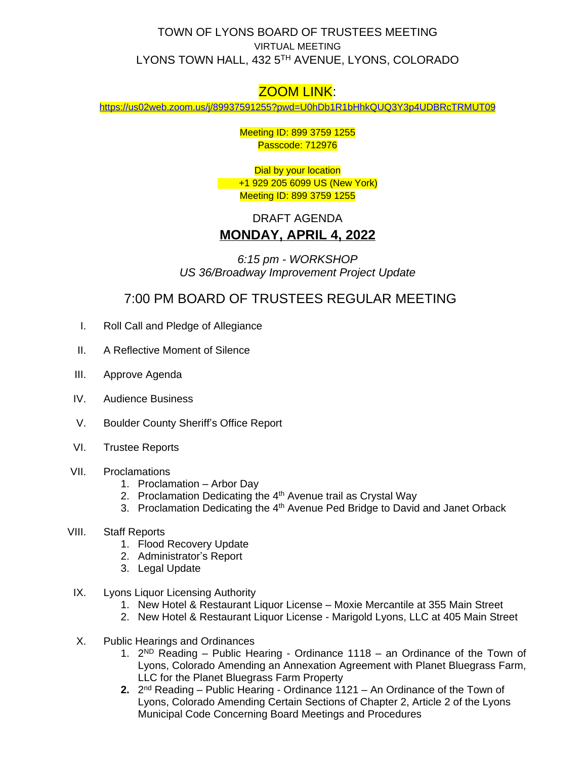## TOWN OF LYONS BOARD OF TRUSTEES MEETING VIRTUAL MEETING LYONS TOWN HALL, 432 5TH AVENUE, LYONS, COLORADO

## ZOOM LINK:

<https://us02web.zoom.us/j/89937591255?pwd=U0hDb1R1bHhkQUQ3Y3p4UDBRcTRMUT09>

Meeting ID: 899 3759 1255 Passcode: 712976

Dial by your location +1 929 205 6099 US (New York) Meeting ID: 899 3759 1255

## DRAFT AGENDA **MONDAY, APRIL 4, 2022**

*6:15 pm - WORKSHOP US 36/Broadway Improvement Project Update*

7:00 PM BOARD OF TRUSTEES REGULAR MEETING

- I. Roll Call and Pledge of Allegiance
- II. A Reflective Moment of Silence
- III. Approve Agenda
- IV. Audience Business
- V. Boulder County Sheriff's Office Report
- VI. Trustee Reports
- VII. Proclamations
	- 1. Proclamation Arbor Day
	- 2. Proclamation Dedicating the 4<sup>th</sup> Avenue trail as Crystal Way
	- 3. Proclamation Dedicating the 4<sup>th</sup> Avenue Ped Bridge to David and Janet Orback
- VIII. Staff Reports
	- 1. Flood Recovery Update
	- 2. Administrator's Report
	- 3. Legal Update
- IX. Lyons Liquor Licensing Authority
	- 1. New Hotel & Restaurant Liquor License Moxie Mercantile at 355 Main Street
	- 2. New Hotel & Restaurant Liquor License Marigold Lyons, LLC at 405 Main Street
- X. Public Hearings and Ordinances
	- 1. 2 ND Reading Public Hearing Ordinance 1118 an Ordinance of the Town of Lyons, Colorado Amending an Annexation Agreement with Planet Bluegrass Farm, LLC for the Planet Bluegrass Farm Property
	- 2. 2<sup>nd</sup> Reading Public Hearing Ordinance 1121 An Ordinance of the Town of Lyons, Colorado Amending Certain Sections of Chapter 2, Article 2 of the Lyons Municipal Code Concerning Board Meetings and Procedures